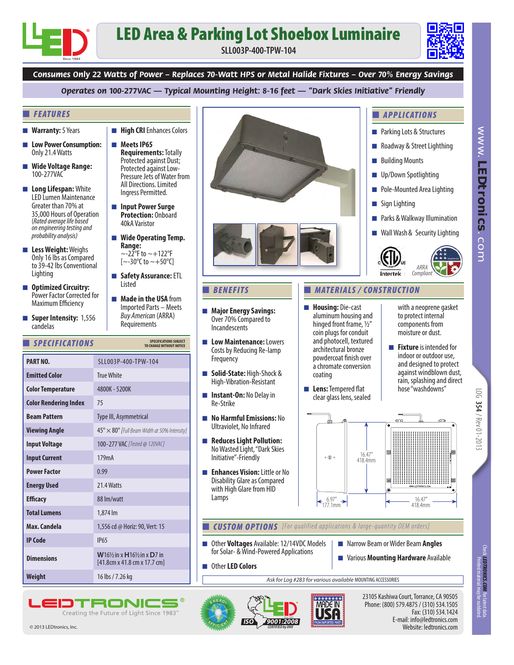## LED Area & Parking Lot Shoebox Luminaire

**SLL003P-400-TPW-104**



■ *APPLICATIONS*

■ Building Mounts ■ Up/Down Spotlighting ■ Pole-Mounted Area Lighting

■ Sign Lighting

■ Parking Lots & Structures ■ Roadway & Street Lighthing www.

*LEDtronics*www. LEDtronics.com

*Consumes Only 22 Watts of Power – Replaces 70-Watt HPS or Metal Halide Fixtures – Over 70% Energy Savings* 

*Operates on 100-277VAC — Typical Mounting Height: 8-16 feet — "Dark Skies Initiative" Friendly*

## ■ *FEATURES*

- **Warranty:** 5 Years
- **Low Power Consumption:** Only 21.4 Watts
- **Wide Voltage Range:** 100-277VAC
- **Long Lifespan:** White LED Lumen Maintenance Greater than 70% at 35,000 Hours of Operation (*Rated average life based on engineering testing and probability analysis)*
- **Less Weight:** Weighs Only 16 lbs as Compared to 39-42 lbs Conventional Lighting
- **Optimized Circuitry:** Power Factor Corrected for Maximum Efficiency
- **Super Intensity:** 1,556 candelas

■ **Meets IP65 Requirements:** Totally Protected against Dust; Protected against Low-Pressure Jets of Water from All Directions. Limited Ingress Permitted.

■ **High CRI** Enhances Colors

- **Input Power Surge Protection:** Onboard 40kA Varistor
- **Wide Operating Temp. Range:**  $\sim$ -22°F to  $\sim$ +122°F  $[-30^{\circ}\text{C}$  to  $\sim +50^{\circ}\text{C}]$
- **Safety Assurance:** ETL **Listed**
- **Made in the USA** from Imported Parts – Meets *Buy American* (ARRA) Requirements

## **Emitted Color** True White **Color Temperature Beam Pattern** Type III, Asymmetrical 4800K - 5200K **Viewing Angle Power Factor** 0.99 45° × 80° *[Full Beam Width at 50% Intensity]* **Efficacy** 88 lm/watt **Total Lumens** 1,874 lm **Energy Used** 21.4 Watts **Color Rendering Index** 75 **Max. Candela** 1,556 cd @ Horiz: 90, Vert: 15 **Input Voltage** 100-277 VAC *[Tested @ 120VAC]* **Input Current** 179mA **PART NO.** SLL003P-400-TPW-104 ■ *SPECIFICATIONS* **Weight** 16 lbs / 7.26 kg **Dimensions <sup>W</sup>**16½ in x **H**16½ in x **D**7 in [41.8cm x 41.8 cm x 17.7 cm] **SPECIFICATIONS SUBJECT TO CHANGE WITHOUT NOTICE IP Code** IP65

TRONC Creating the Future of Light Since 1983'





- **Major Energy Savings:** Over 70% Compared to Incandescents
- Low Maintenance: Lowers Costs by Reducing Re-lamp **Frequency**
- **Solid-State:** High-Shock & High-Vibration-Resistant
- $\blacksquare$  **Instant-On:** No Delay in Re-Strike
- **No Harmful Emissions:** No Ultraviolet, No Infrared
- **Reduces Light Pollution:** No Wasted Light, "Dark Skies Initiative"-Friendly
- **Enhances Vision:** Little or No Disability Glare as Compared with High Glare from HID Lamps

■ Other LED Colors



**CUSTOM OPTIONS** [For qualified applications & large-quantity OEM orders]

- Other **Voltages** Available: 12/14VDC Models for Solar- & Wind-Powered Applications
- Narrow Beam or Wider Beam **Angles**
- Various **Mounting Hardware** Available

Fax: (310) 534.1424

Website: ledtronics.com

*Ask for Log #283 for various available* MOUNTING ACCESSORIES





LOG

**354** /  $Rev$  01-2013 / Rev 01-2013

Check *LEDTRONICS.COM*<br>Printed material ma *LEDTRONICS.COM* for latest data. Printed material may be outdated.

© 2013 LEDtronics, Inc.